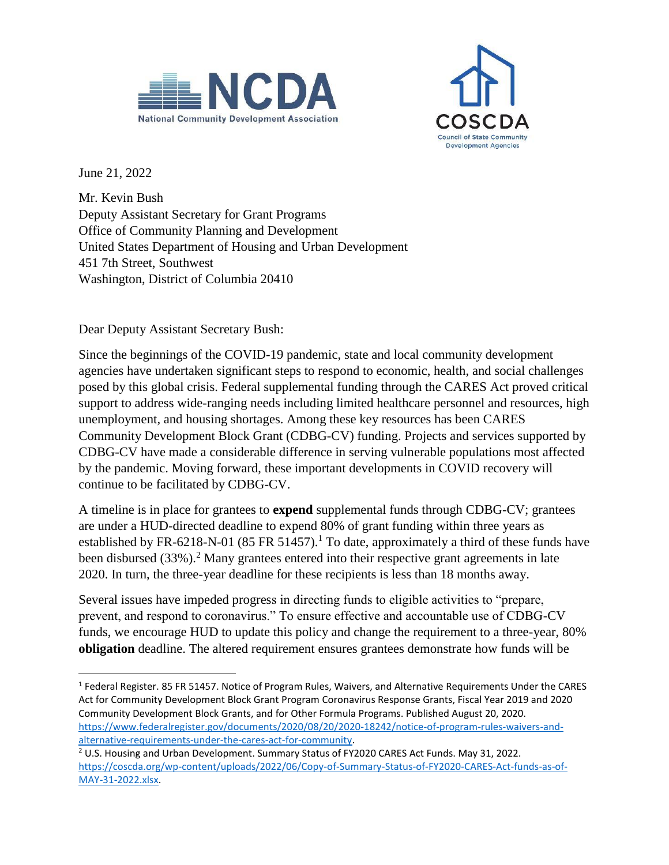



June 21, 2022

 $\overline{\phantom{a}}$ 

Mr. Kevin Bush Deputy Assistant Secretary for Grant Programs Office of Community Planning and Development United States Department of Housing and Urban Development 451 7th Street, Southwest Washington, District of Columbia 20410

Dear Deputy Assistant Secretary Bush:

Since the beginnings of the COVID-19 pandemic, state and local community development agencies have undertaken significant steps to respond to economic, health, and social challenges posed by this global crisis. Federal supplemental funding through the CARES Act proved critical support to address wide-ranging needs including limited healthcare personnel and resources, high unemployment, and housing shortages. Among these key resources has been CARES Community Development Block Grant (CDBG-CV) funding. Projects and services supported by CDBG-CV have made a considerable difference in serving vulnerable populations most affected by the pandemic. Moving forward, these important developments in COVID recovery will continue to be facilitated by CDBG-CV.

A timeline is in place for grantees to **expend** supplemental funds through CDBG-CV; grantees are under a HUD-directed deadline to expend 80% of grant funding within three years as established by FR-6218-N-01 (85 FR 51457).<sup>1</sup> To date, approximately a third of these funds have been disbursed (33%).<sup>2</sup> Many grantees entered into their respective grant agreements in late 2020. In turn, the three-year deadline for these recipients is less than 18 months away.

Several issues have impeded progress in directing funds to eligible activities to "prepare, prevent, and respond to coronavirus." To ensure effective and accountable use of CDBG-CV funds, we encourage HUD to update this policy and change the requirement to a three-year, 80% **obligation** deadline. The altered requirement ensures grantees demonstrate how funds will be

<sup>&</sup>lt;sup>1</sup> Federal Register. 85 FR 51457. Notice of Program Rules, Waivers, and Alternative Requirements Under the CARES Act for Community Development Block Grant Program Coronavirus Response Grants, Fiscal Year 2019 and 2020 Community Development Block Grants, and for Other Formula Programs. Published August 20, 2020. [https://www.federalregister.gov/documents/2020/08/20/2020-18242/notice-of-program-rules-waivers-and](https://www.federalregister.gov/documents/2020/08/20/2020-18242/notice-of-program-rules-waivers-and-alternative-requirements-under-the-cares-act-for-community)[alternative-requirements-under-the-cares-act-for-community.](https://www.federalregister.gov/documents/2020/08/20/2020-18242/notice-of-program-rules-waivers-and-alternative-requirements-under-the-cares-act-for-community)

<sup>&</sup>lt;sup>2</sup> U.S. Housing and Urban Development. Summary Status of FY2020 CARES Act Funds. May 31, 2022. [https://coscda.org/wp-content/uploads/2022/06/Copy-of-Summary-Status-of-FY2020-CARES-Act-funds-as-of-](https://coscda.org/wp-content/uploads/2022/06/Copy-of-Summary-Status-of-FY2020-CARES-Act-funds-as-of-MAY-31-2022.xlsx)[MAY-31-2022.xlsx.](https://coscda.org/wp-content/uploads/2022/06/Copy-of-Summary-Status-of-FY2020-CARES-Act-funds-as-of-MAY-31-2022.xlsx)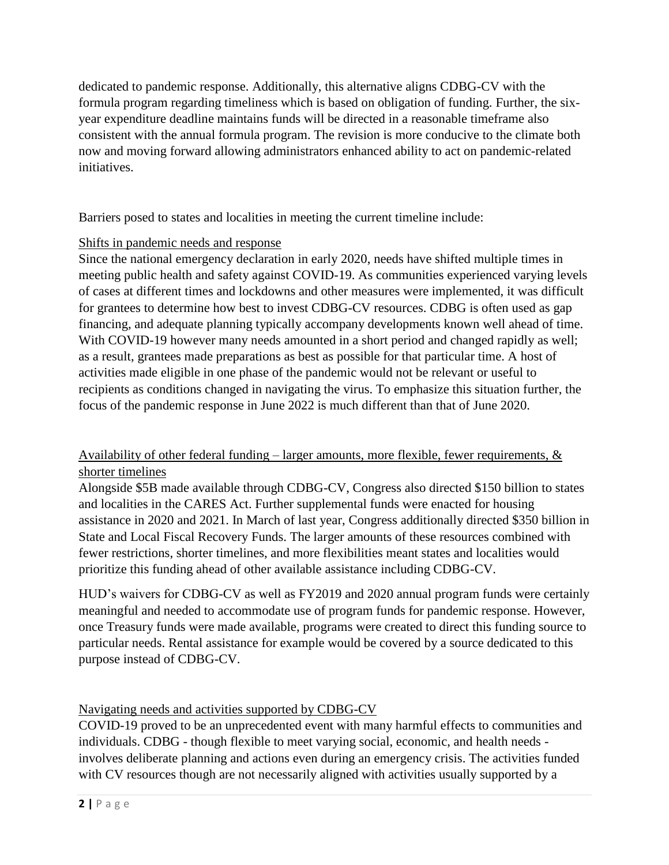dedicated to pandemic response. Additionally, this alternative aligns CDBG-CV with the formula program regarding timeliness which is based on obligation of funding. Further, the sixyear expenditure deadline maintains funds will be directed in a reasonable timeframe also consistent with the annual formula program. The revision is more conducive to the climate both now and moving forward allowing administrators enhanced ability to act on pandemic-related initiatives.

Barriers posed to states and localities in meeting the current timeline include:

## Shifts in pandemic needs and response

Since the national emergency declaration in early 2020, needs have shifted multiple times in meeting public health and safety against COVID-19. As communities experienced varying levels of cases at different times and lockdowns and other measures were implemented, it was difficult for grantees to determine how best to invest CDBG-CV resources. CDBG is often used as gap financing, and adequate planning typically accompany developments known well ahead of time. With COVID-19 however many needs amounted in a short period and changed rapidly as well; as a result, grantees made preparations as best as possible for that particular time. A host of activities made eligible in one phase of the pandemic would not be relevant or useful to recipients as conditions changed in navigating the virus. To emphasize this situation further, the focus of the pandemic response in June 2022 is much different than that of June 2020.

## Availability of other federal funding – larger amounts, more flexible, fewer requirements,  $\&$ shorter timelines

Alongside \$5B made available through CDBG-CV, Congress also directed \$150 billion to states and localities in the CARES Act. Further supplemental funds were enacted for housing assistance in 2020 and 2021. In March of last year, Congress additionally directed \$350 billion in State and Local Fiscal Recovery Funds. The larger amounts of these resources combined with fewer restrictions, shorter timelines, and more flexibilities meant states and localities would prioritize this funding ahead of other available assistance including CDBG-CV.

HUD's waivers for CDBG-CV as well as FY2019 and 2020 annual program funds were certainly meaningful and needed to accommodate use of program funds for pandemic response. However, once Treasury funds were made available, programs were created to direct this funding source to particular needs. Rental assistance for example would be covered by a source dedicated to this purpose instead of CDBG-CV.

## Navigating needs and activities supported by CDBG-CV

COVID-19 proved to be an unprecedented event with many harmful effects to communities and individuals. CDBG - though flexible to meet varying social, economic, and health needs involves deliberate planning and actions even during an emergency crisis. The activities funded with CV resources though are not necessarily aligned with activities usually supported by a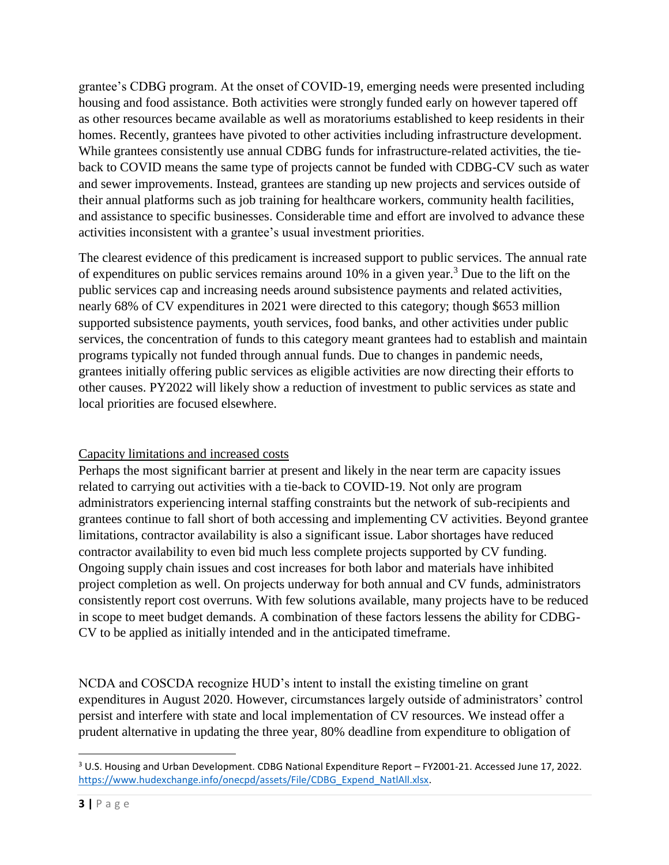grantee's CDBG program. At the onset of COVID-19, emerging needs were presented including housing and food assistance. Both activities were strongly funded early on however tapered off as other resources became available as well as moratoriums established to keep residents in their homes. Recently, grantees have pivoted to other activities including infrastructure development. While grantees consistently use annual CDBG funds for infrastructure-related activities, the tieback to COVID means the same type of projects cannot be funded with CDBG-CV such as water and sewer improvements. Instead, grantees are standing up new projects and services outside of their annual platforms such as job training for healthcare workers, community health facilities, and assistance to specific businesses. Considerable time and effort are involved to advance these activities inconsistent with a grantee's usual investment priorities.

The clearest evidence of this predicament is increased support to public services. The annual rate of expenditures on public services remains around 10% in a given year.<sup>3</sup> Due to the lift on the public services cap and increasing needs around subsistence payments and related activities, nearly 68% of CV expenditures in 2021 were directed to this category; though \$653 million supported subsistence payments, youth services, food banks, and other activities under public services, the concentration of funds to this category meant grantees had to establish and maintain programs typically not funded through annual funds. Due to changes in pandemic needs, grantees initially offering public services as eligible activities are now directing their efforts to other causes. PY2022 will likely show a reduction of investment to public services as state and local priorities are focused elsewhere.

## Capacity limitations and increased costs

Perhaps the most significant barrier at present and likely in the near term are capacity issues related to carrying out activities with a tie-back to COVID-19. Not only are program administrators experiencing internal staffing constraints but the network of sub-recipients and grantees continue to fall short of both accessing and implementing CV activities. Beyond grantee limitations, contractor availability is also a significant issue. Labor shortages have reduced contractor availability to even bid much less complete projects supported by CV funding. Ongoing supply chain issues and cost increases for both labor and materials have inhibited project completion as well. On projects underway for both annual and CV funds, administrators consistently report cost overruns. With few solutions available, many projects have to be reduced in scope to meet budget demands. A combination of these factors lessens the ability for CDBG-CV to be applied as initially intended and in the anticipated timeframe.

NCDA and COSCDA recognize HUD's intent to install the existing timeline on grant expenditures in August 2020. However, circumstances largely outside of administrators' control persist and interfere with state and local implementation of CV resources. We instead offer a prudent alternative in updating the three year, 80% deadline from expenditure to obligation of

l <sup>3</sup> U.S. Housing and Urban Development. CDBG National Expenditure Report – FY2001-21. Accessed June 17, 2022. [https://www.hudexchange.info/onecpd/assets/File/CDBG\\_Expend\\_NatlAll.xlsx.](https://www.hudexchange.info/onecpd/assets/File/CDBG_Expend_NatlAll.xlsx)